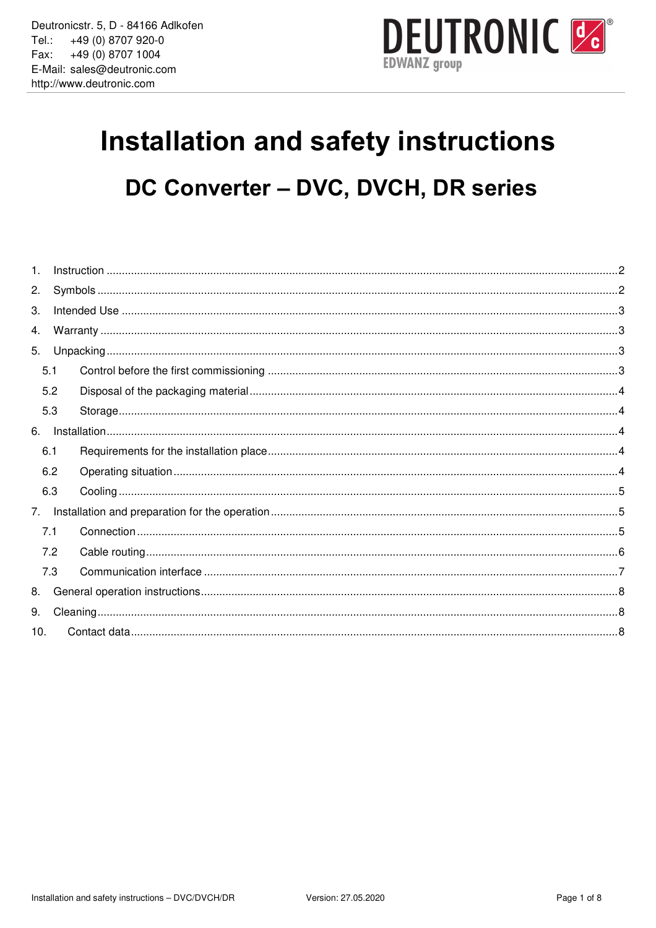

# Installation and safety instructions DC Converter - DVC, DVCH, DR series

| 1.             |     |  |  |
|----------------|-----|--|--|
| 2.             |     |  |  |
| 3.             |     |  |  |
| 4.             |     |  |  |
| 5.             |     |  |  |
|                | 5.1 |  |  |
|                | 5.2 |  |  |
|                | 5.3 |  |  |
| 6.             |     |  |  |
|                | 6.1 |  |  |
|                | 6.2 |  |  |
|                | 6.3 |  |  |
| 7 <sub>1</sub> |     |  |  |
|                | 7.1 |  |  |
|                | 7.2 |  |  |
|                | 7.3 |  |  |
| 8.             |     |  |  |
| 9.             |     |  |  |
| 10.            |     |  |  |
|                |     |  |  |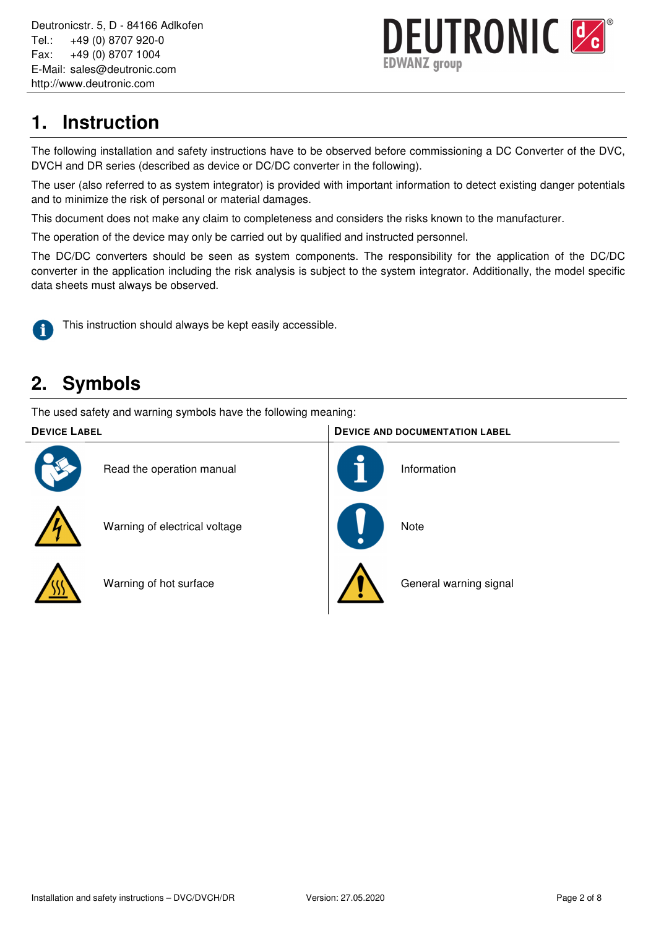

# **1. Instruction**

The following installation and safety instructions have to be observed before commissioning a DC Converter of the DVC, DVCH and DR series (described as device or DC/DC converter in the following).

The user (also referred to as system integrator) is provided with important information to detect existing danger potentials and to minimize the risk of personal or material damages.

This document does not make any claim to completeness and considers the risks known to the manufacturer.

The operation of the device may only be carried out by qualified and instructed personnel.

The DC/DC converters should be seen as system components. The responsibility for the application of the DC/DC converter in the application including the risk analysis is subject to the system integrator. Additionally, the model specific data sheets must always be observed.



This instruction should always be kept easily accessible.

# **2. Symbols**

The used safety and warning symbols have the following meaning:

# **DEVICE LABEL DEVICE AND DOCUMENTATION LABEL** Read the operation manual Information Warning of electrical voltage  $\blacksquare$  Note Warning of hot surface  $\parallel$  AN General warning signal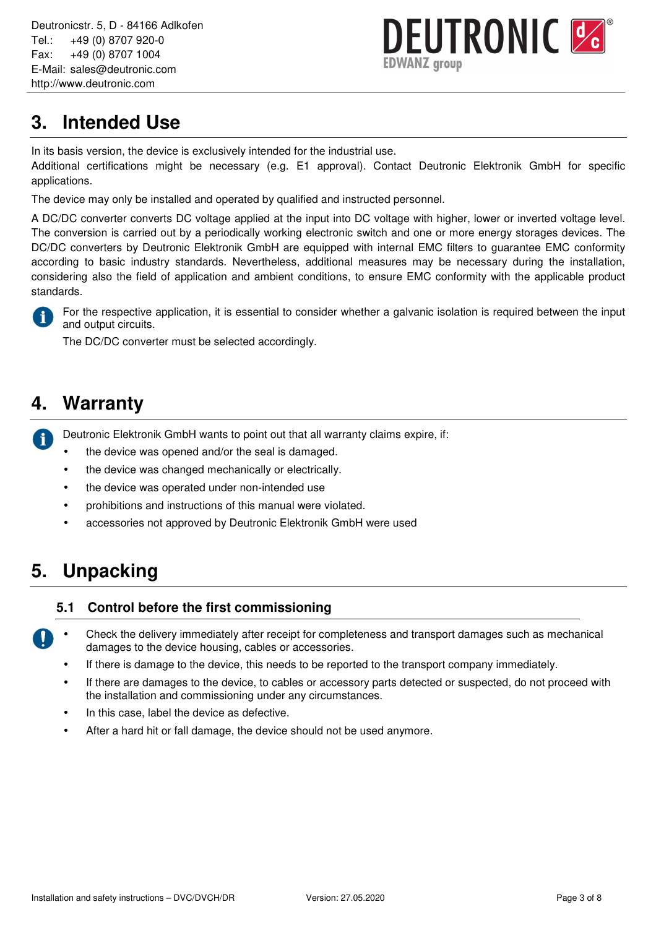Deutronicstr. 5, D - 84166 Adlkofen Tel.: +49 (0) 8707 920-0 Fax: +49 (0) 8707 1004 E-Mail: sales@deutronic.com http://www.deutronic.com



# **3. Intended Use**

In its basis version, the device is exclusively intended for the industrial use.

Additional certifications might be necessary (e.g. E1 approval). Contact Deutronic Elektronik GmbH for specific applications.

The device may only be installed and operated by qualified and instructed personnel.

A DC/DC converter converts DC voltage applied at the input into DC voltage with higher, lower or inverted voltage level. The conversion is carried out by a periodically working electronic switch and one or more energy storages devices. The DC/DC converters by Deutronic Elektronik GmbH are equipped with internal EMC filters to quarantee EMC conformity according to basic industry standards. Nevertheless, additional measures may be necessary during the installation, considering also the field of application and ambient conditions, to ensure EMC conformity with the applicable product standards.



For the respective application, it is essential to consider whether a galvanic isolation is required between the input and output circuits.

The DC/DC converter must be selected accordingly.

## **4. Warranty**

Deutronic Elektronik GmbH wants to point out that all warranty claims expire, if: i

- the device was opened and/or the seal is damaged.
- the device was changed mechanically or electrically.
- the device was operated under non-intended use
- prohibitions and instructions of this manual were violated.
- accessories not approved by Deutronic Elektronik GmbH were used

# **5. Unpacking**

## **5.1 Control before the first commissioning**

- Check the delivery immediately after receipt for completeness and transport damages such as mechanical damages to the device housing, cables or accessories.
	- If there is damage to the device, this needs to be reported to the transport company immediately.
	- If there are damages to the device, to cables or accessory parts detected or suspected, do not proceed with the installation and commissioning under any circumstances.
	- In this case, label the device as defective.
	- After a hard hit or fall damage, the device should not be used anymore.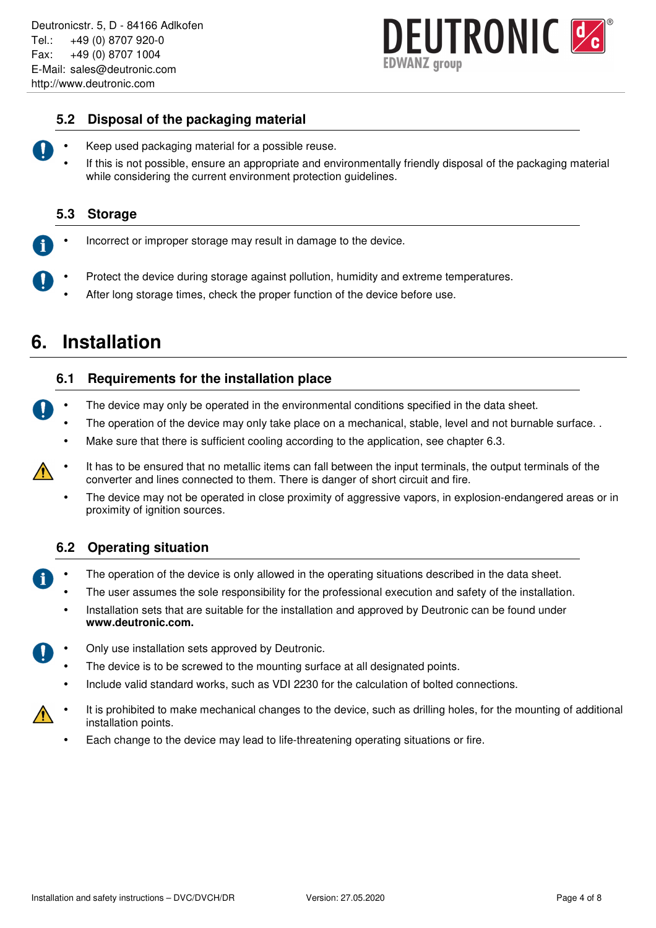# **DEUTRONIC &** )WANZ group

## **5.2 Disposal of the packaging material**

- - Keep used packaging material for a possible reuse.
	- If this is not possible, ensure an appropriate and environmentally friendly disposal of the packaging material while considering the current environment protection guidelines.

## **5.3 Storage**

- Incorrect or improper storage may result in damage to the device.
- Protect the device during storage against pollution, humidity and extreme temperatures.
	- After long storage times, check the proper function of the device before use.

## **6. Installation**

## **6.1 Requirements for the installation place**

- The device may only be operated in the environmental conditions specified in the data sheet.
	- The operation of the device may only take place on a mechanical, stable, level and not burnable surface..
	- Make sure that there is sufficient cooling according to the application, see chapter 6.3.
- It has to be ensured that no metallic items can fall between the input terminals, the output terminals of the converter and lines connected to them. There is danger of short circuit and fire.
	- The device may not be operated in close proximity of aggressive vapors, in explosion-endangered areas or in proximity of ignition sources.

## **6.2 Operating situation**

- The operation of the device is only allowed in the operating situations described in the data sheet.
	- The user assumes the sole responsibility for the professional execution and safety of the installation.
	- Installation sets that are suitable for the installation and approved by Deutronic can be found under **www.deutronic.com.**
- Only use installation sets approved by Deutronic.
	- The device is to be screwed to the mounting surface at all designated points.
	- Include valid standard works, such as VDI 2230 for the calculation of bolted connections.
- It is prohibited to make mechanical changes to the device, such as drilling holes, for the mounting of additional installation points.
	- Each change to the device may lead to life-threatening operating situations or fire.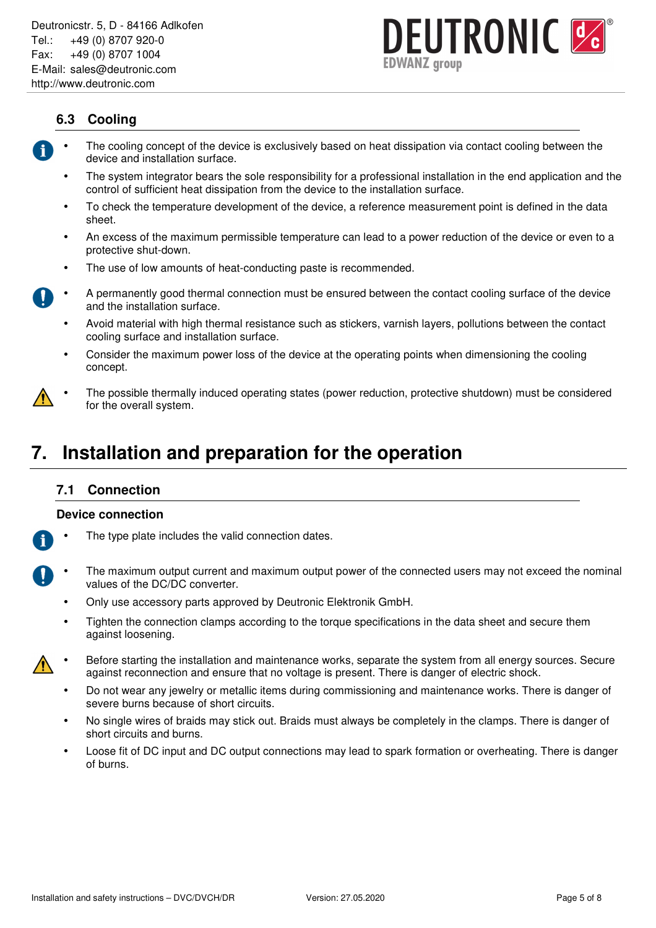

## **6.3 Cooling**

- The cooling concept of the device is exclusively based on heat dissipation via contact cooling between the device and installation surface.
	- The system integrator bears the sole responsibility for a professional installation in the end application and the control of sufficient heat dissipation from the device to the installation surface.
	- To check the temperature development of the device, a reference measurement point is defined in the data sheet.
	- An excess of the maximum permissible temperature can lead to a power reduction of the device or even to a protective shut-down.
	- The use of low amounts of heat-conducting paste is recommended.
- A permanently good thermal connection must be ensured between the contact cooling surface of the device and the installation surface.
	- Avoid material with high thermal resistance such as stickers, varnish layers, pollutions between the contact cooling surface and installation surface.
	- Consider the maximum power loss of the device at the operating points when dimensioning the cooling concept.
- The possible thermally induced operating states (power reduction, protective shutdown) must be considered for the overall system.

## **7. Installation and preparation for the operation**

## **7.1 Connection**

#### **Device connection**

- The type plate includes the valid connection dates.
- The maximum output current and maximum output power of the connected users may not exceed the nominal values of the DC/DC converter.
	- Only use accessory parts approved by Deutronic Elektronik GmbH.
	- Tighten the connection clamps according to the torque specifications in the data sheet and secure them against loosening.
- Before starting the installation and maintenance works, separate the system from all energy sources. Secure against reconnection and ensure that no voltage is present. There is danger of electric shock.
	- Do not wear any jewelry or metallic items during commissioning and maintenance works. There is danger of severe burns because of short circuits.
	- No single wires of braids may stick out. Braids must always be completely in the clamps. There is danger of short circuits and burns.
	- Loose fit of DC input and DC output connections may lead to spark formation or overheating. There is danger of burns.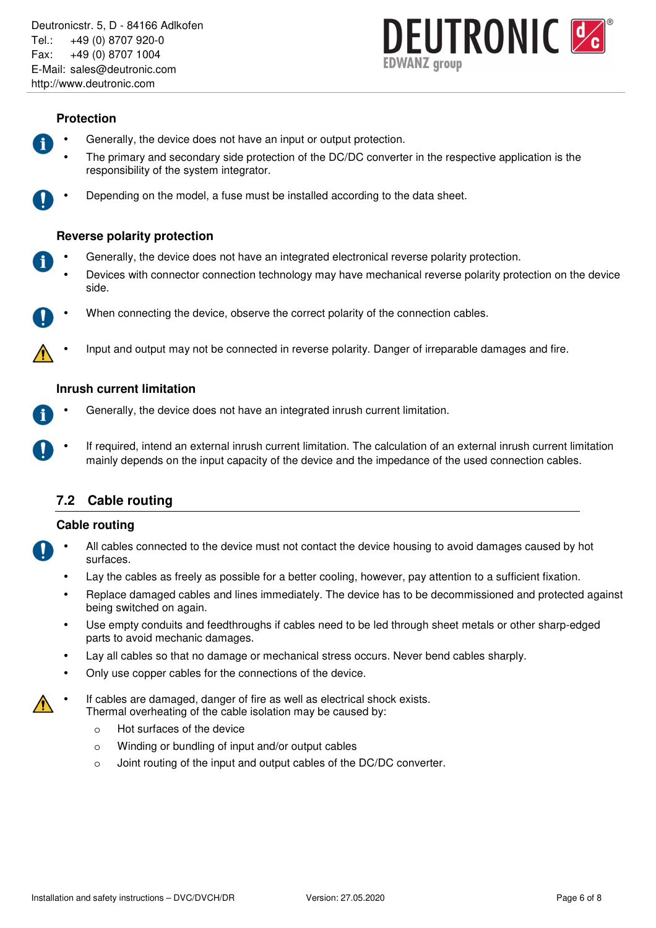

#### **Protection**

- Generally, the device does not have an input or output protection.
- The primary and secondary side protection of the DC/DC converter in the respective application is the responsibility of the system integrator.
- 

• Depending on the model, a fuse must be installed according to the data sheet.

## **Reverse polarity protection**

- Generally, the device does not have an integrated electronical reverse polarity protection.
	- Devices with connector connection technology may have mechanical reverse polarity protection on the device side.
- When connecting the device, observe the correct polarity of the connection cables.
	- Input and output may not be connected in reverse polarity. Danger of irreparable damages and fire.

## **Inrush current limitation**

- Generally, the device does not have an integrated inrush current limitation.
- If required, intend an external inrush current limitation. The calculation of an external inrush current limitation mainly depends on the input capacity of the device and the impedance of the used connection cables.

## **7.2 Cable routing**

#### **Cable routing**

- All cables connected to the device must not contact the device housing to avoid damages caused by hot surfaces.
	- Lay the cables as freely as possible for a better cooling, however, pay attention to a sufficient fixation.
	- Replace damaged cables and lines immediately. The device has to be decommissioned and protected against being switched on again.
	- Use empty conduits and feedthroughs if cables need to be led through sheet metals or other sharp-edged parts to avoid mechanic damages.
	- Lay all cables so that no damage or mechanical stress occurs. Never bend cables sharply.
	- Only use copper cables for the connections of the device.
- If cables are damaged, danger of fire as well as electrical shock exists. Thermal overheating of the cable isolation may be caused by:
	- o Hot surfaces of the device
	- o Winding or bundling of input and/or output cables
	- o Joint routing of the input and output cables of the DC/DC converter.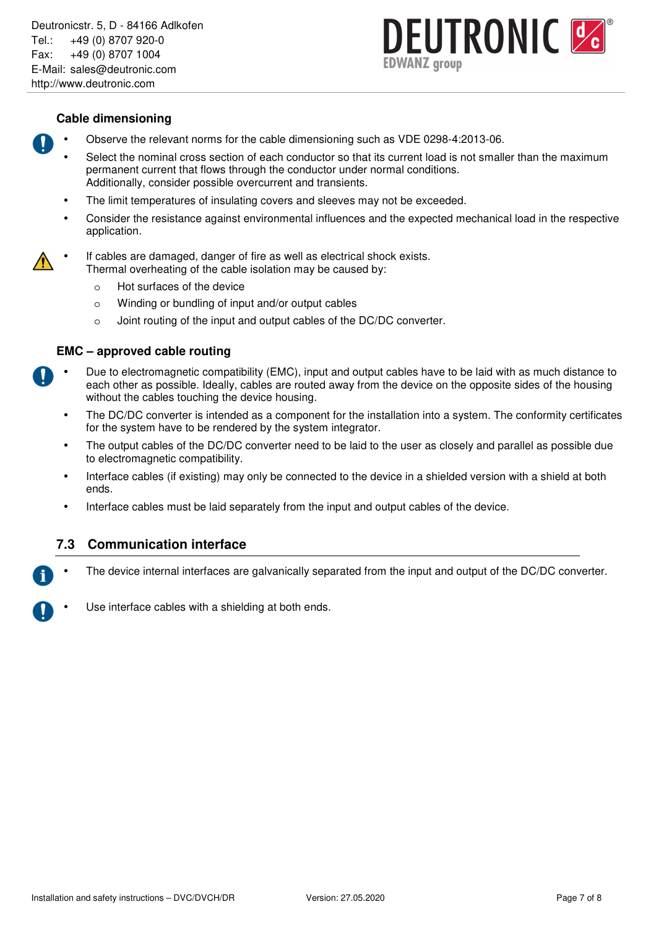

### **Cable dimensioning**

- Observe the relevant norms for the cable dimensioning such as VDE 0298-4:2013-06.
	- Select the nominal cross section of each conductor so that its current load is not smaller than the maximum permanent current that flows through the conductor under normal conditions. Additionally, consider possible overcurrent and transients.
	- The limit temperatures of insulating covers and sleeves may not be exceeded.
	- Consider the resistance against environmental influences and the expected mechanical load in the respective application.
- If cables are damaged, danger of fire as well as electrical shock exists. Thermal overheating of the cable isolation may be caused by:
	- o Hot surfaces of the device
	- o Winding or bundling of input and/or output cables
	- o Joint routing of the input and output cables of the DC/DC converter.

#### **EMC – approved cable routing**

- Due to electromagnetic compatibility (EMC), input and output cables have to be laid with as much distance to each other as possible. Ideally, cables are routed away from the device on the opposite sides of the housing without the cables touching the device housing.
	- The DC/DC converter is intended as a component for the installation into a system. The conformity certificates for the system have to be rendered by the system integrator.
	- The output cables of the DC/DC converter need to be laid to the user as closely and parallel as possible due to electromagnetic compatibility.
	- Interface cables (if existing) may only be connected to the device in a shielded version with a shield at both ends.
	- Interface cables must be laid separately from the input and output cables of the device.

## **7.3 Communication interface**

- The device internal interfaces are galvanically separated from the input and output of the DC/DC converter.
- Use interface cables with a shielding at both ends.